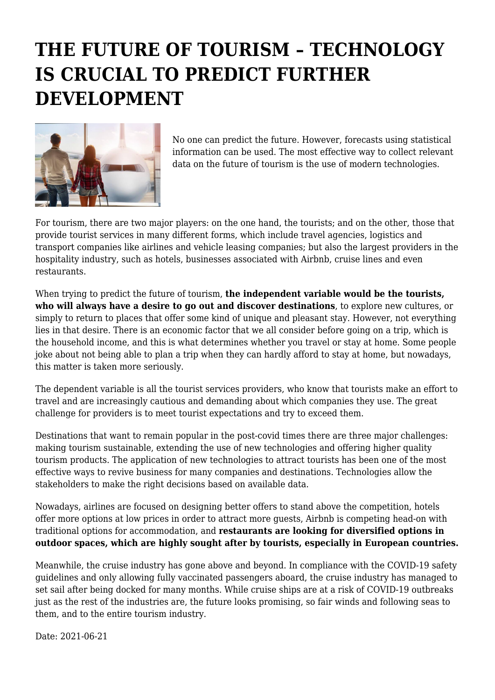## **THE FUTURE OF TOURISM – TECHNOLOGY IS CRUCIAL TO PREDICT FURTHER DEVELOPMENT**



No one can predict the future. However, forecasts using statistical information can be used. The most effective way to collect relevant data on the future of tourism is the use of modern technologies.

For tourism, there are two major players: on the one hand, the tourists; and on the other, those that provide tourist services in many different forms, which include travel agencies, logistics and transport companies like airlines and vehicle leasing companies; but also the largest providers in the hospitality industry, such as hotels, businesses associated with Airbnb, cruise lines and even restaurants.

When trying to predict the future of tourism, **the independent variable would be the tourists, who will always have a desire to go out and discover destinations**, to explore new cultures, or simply to return to places that offer some kind of unique and pleasant stay. However, not everything lies in that desire. There is an economic factor that we all consider before going on a trip, which is the household income, and this is what determines whether you travel or stay at home. Some people joke about not being able to plan a trip when they can hardly afford to stay at home, but nowadays, this matter is taken more seriously.

The dependent variable is all the tourist services providers, who know that tourists make an effort to travel and are increasingly cautious and demanding about which companies they use. The great challenge for providers is to meet tourist expectations and try to exceed them.

Destinations that want to remain popular in the post-covid times there are three major challenges: making tourism sustainable, extending the use of new technologies and offering higher quality tourism products. The application of new technologies to attract tourists has been one of the most effective ways to revive business for many companies and destinations. Technologies allow the stakeholders to make the right decisions based on available data.

Nowadays, airlines are focused on designing better offers to stand above the competition, hotels offer more options at low prices in order to attract more guests, Airbnb is competing head-on with traditional options for accommodation, and **restaurants are looking for diversified options in outdoor spaces, which are highly sought after by tourists, especially in European countries.**

Meanwhile, the cruise industry has gone above and beyond. In compliance with the COVID-19 safety guidelines and only allowing fully vaccinated passengers aboard, the cruise industry has managed to set sail after being docked for many months. While cruise ships are at a risk of COVID-19 outbreaks just as the rest of the industries are, the future looks promising, so fair winds and following seas to them, and to the entire tourism industry.

Date: 2021-06-21